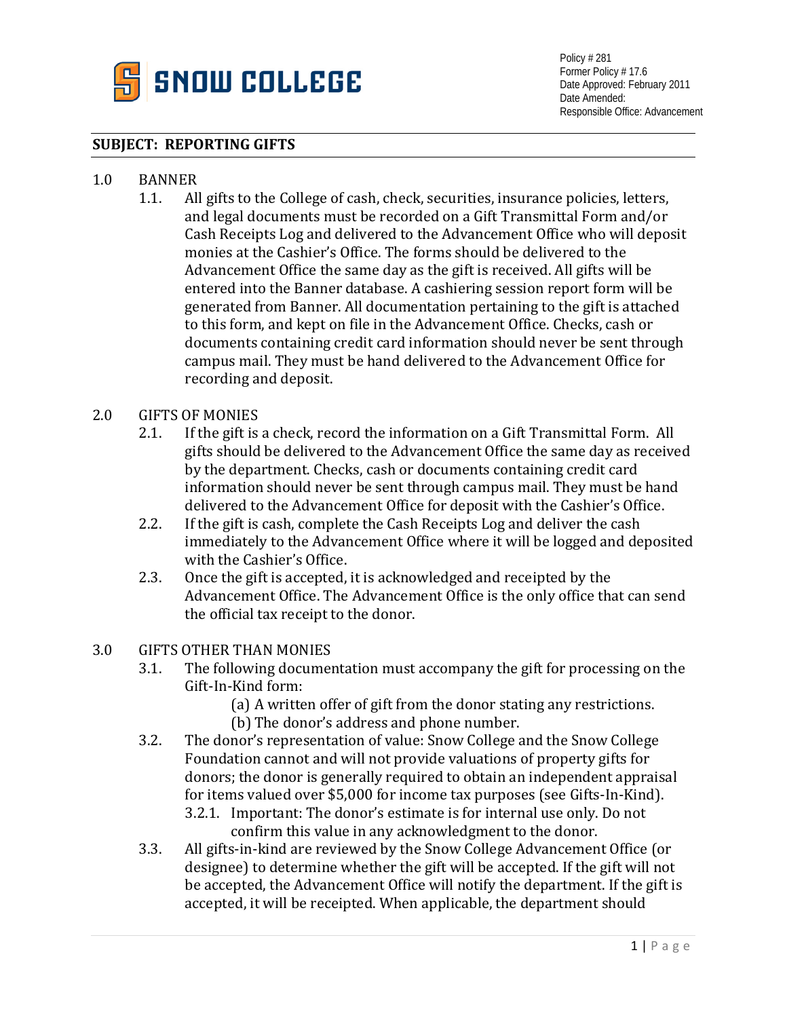

Policy # 281 Former Policy # 17.6 Date Approved: February 2011 Date Amended: Responsible Office: Advancement

#### **SUBJECT: REPORTING GIFTS**

# 1.0 BANNER<br>1.1. Al

All gifts to the College of cash, check, securities, insurance policies, letters, and legal documents must be recorded on a Gift Transmittal Form and/or Cash Receipts Log and delivered to the Advancement Office who will deposit monies at the Cashier's Office. The forms should be delivered to the Advancement Office the same day as the gift is received. All gifts will be entered into the Banner database. A cashiering session report form will be generated from Banner. All documentation pertaining to the gift is attached to this form, and kept on file in the Advancement Office. Checks, cash or documents containing credit card information should never be sent through campus mail. They must be hand delivered to the Advancement Office for recording and deposit.

## 2.0 GIFTS OF MONIES<br>2.1. If the gift is

- 2.1. If the gift is a check, record the information on a Gift Transmittal Form. All gifts should be delivered to the Advancement Office the same day as received by the department. Checks, cash or documents containing credit card information should never be sent through campus mail. They must be hand delivered to the Advancement Office for deposit with the Cashier's Office.
- 2.2. If the gift is cash, complete the Cash Receipts Log and deliver the cash immediately to the Advancement Office where it will be logged and deposited with the Cashier's Office.
- 2.3. Once the gift is accepted, it is acknowledged and receipted by the Advancement Office. The Advancement Office is the only office that can send the official tax receipt to the donor.

### 3.0 GIFTS OTHER THAN MONIES<br>3.1. The following documer

- 3.1. The following documentation must accompany the gift for processing on the Gift-In-Kind form:
	- (a) A written offer of gift from the donor stating any restrictions. (b) The donor's address and phone number.
- 3.2. The donor's representation of value: Snow College and the Snow College Foundation cannot and will not provide valuations of property gifts for donors; the donor is generally required to obtain an independent appraisal for items valued over \$5,000 for income tax purposes (see Gifts-In-Kind).
	- 3.2.1. Important: The donor's estimate is for internal use only. Do not confirm this value in any acknowledgment to the donor.
- 3.3. All gifts-in-kind are reviewed by the Snow College Advancement Office (or designee) to determine whether the gift will be accepted. If the gift will not be accepted, the Advancement Office will notify the department. If the gift is accepted, it will be receipted. When applicable, the department should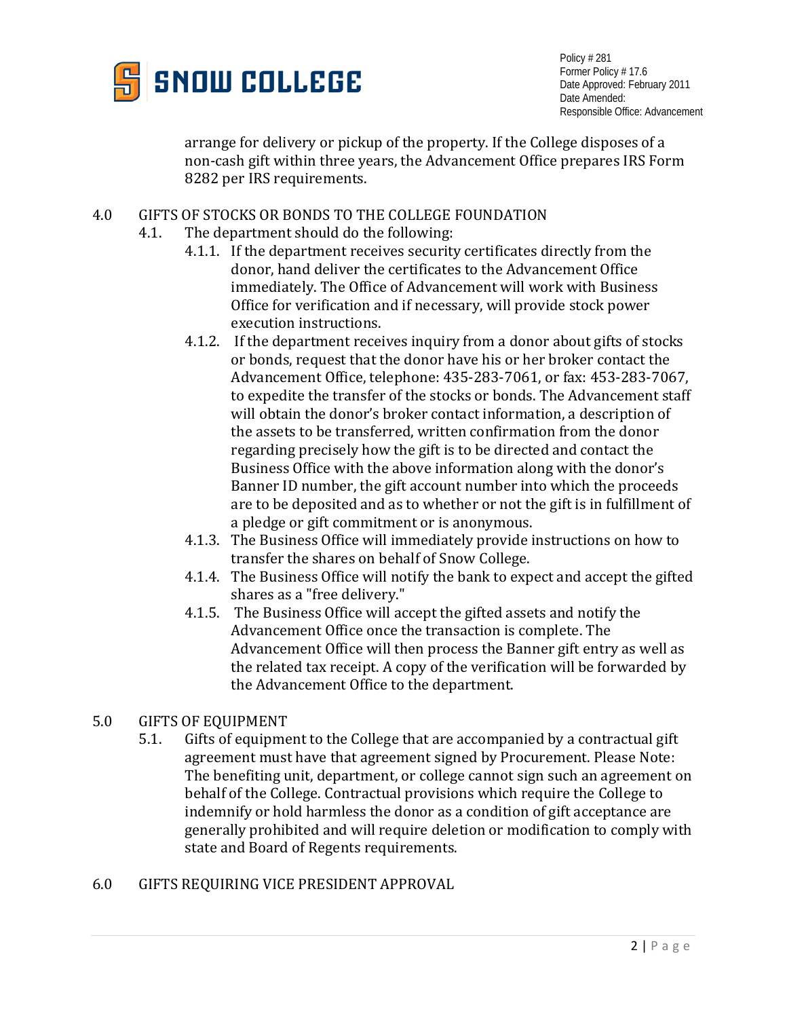

Policy # 281 Former Policy # 17.6 Date Approved: February 2011 Date Amended: Responsible Office: Advancement

arrange for delivery or pickup of the property. If the College disposes of a non-cash gift within three years, the Advancement Office prepares IRS Form 8282 per IRS requirements.

# 4.0 GIFTS OF STOCKS OR BONDS TO THE COLLEGE FOUNDATION<br>4.1. The department should do the following:

- The department should do the following:
	- 4.1.1. If the department receives security certificates directly from the donor, hand deliver the certificates to the Advancement Office immediately. The Office of Advancement will work with Business Office for verification and if necessary, will provide stock power execution instructions.
	- 4.1.2. If the department receives inquiry from a donor about gifts of stocks or bonds, request that the donor have his or her broker contact the Advancement Office, telephone: 435-283-7061, or fax: 453-283-7067, to expedite the transfer of the stocks or bonds. The Advancement staff will obtain the donor's broker contact information, a description of the assets to be transferred, written confirmation from the donor regarding precisely how the gift is to be directed and contact the Business Office with the above information along with the donor's Banner ID number, the gift account number into which the proceeds are to be deposited and as to whether or not the gift is in fulfillment of a pledge or gift commitment or is anonymous.
	- 4.1.3. The Business Office will immediately provide instructions on how to transfer the shares on behalf of Snow College.
	- 4.1.4. The Business Office will notify the bank to expect and accept the gifted shares as a "free delivery."
	- 4.1.5. The Business Office will accept the gifted assets and notify the Advancement Office once the transaction is complete. The Advancement Office will then process the Banner gift entry as well as the related tax receipt. A copy of the verification will be forwarded by the Advancement Office to the department.

# 5.0 GIFTS OF EQUIPMENT<br>5.1. Gifts of equipment

- Gifts of equipment to the College that are accompanied by a contractual gift agreement must have that agreement signed by Procurement. Please Note: The benefiting unit, department, or college cannot sign such an agreement on behalf of the College. Contractual provisions which require the College to indemnify or hold harmless the donor as a condition of gift acceptance are generally prohibited and will require deletion or modification to comply with state and Board of Regents requirements.
- 6.0 GIFTS REQUIRING VICE PRESIDENT APPROVAL